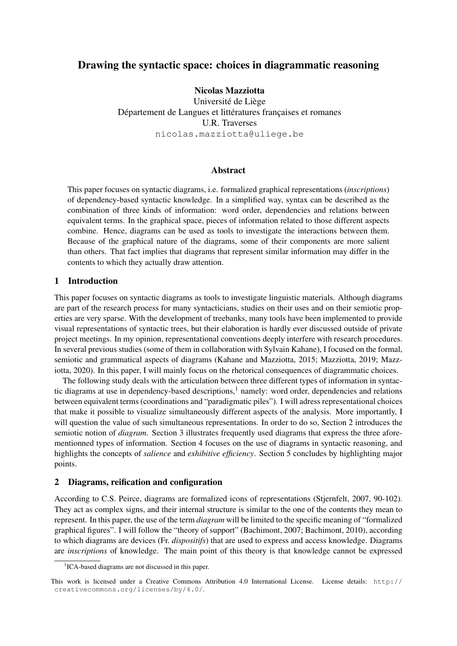# Drawing the syntactic space: choices in diagrammatic reasoning

# Nicolas Mazziotta

Université de Liège Département de Langues et littératures françaises et romanes U.R. Traverses nicolas.mazziotta@uliege.be

## Abstract

This paper focuses on syntactic diagrams, i.e. formalized graphical representations (*inscriptions*) of dependency-based syntactic knowledge. In a simplified way, syntax can be described as the combination of three kinds of information: word order, dependencies and relations between equivalent terms. In the graphical space, pieces of information related to those different aspects combine. Hence, diagrams can be used as tools to investigate the interactions between them. Because of the graphical nature of the diagrams, some of their components are more salient than others. That fact implies that diagrams that represent similar information may differ in the contents to which they actually draw attention.

# 1 Introduction

This paper focuses on syntactic diagrams as tools to investigate linguistic materials. Although diagrams are part of the research process for many syntacticians, studies on their uses and on their semiotic properties are very sparse. With the development of treebanks, many tools have been implemented to provide visual representations of syntactic trees, but their elaboration is hardly ever discussed outside of private project meetings. In my opinion, representational conventions deeply interfere with research procedures. In several previous studies (some of them in collaboration with Sylvain Kahane), I focused on the formal, semiotic and grammatical aspects of diagrams (Kahane and Mazziotta, 2015; Mazziotta, 2019; Mazziotta, 2020). In this paper, I will mainly focus on the rhetorical consequences of diagrammatic choices.

The following study deals with the articulation between three different types of information in syntactic diagrams at use in dependency-based descriptions, $<sup>1</sup>$  namely: word order, dependencies and relations</sup> between equivalent terms (coordinations and "paradigmatic piles"). I will adress representational choices that make it possible to visualize simultaneously different aspects of the analysis. More importantly, I will question the value of such simultaneous representations. In order to do so, Section 2 introduces the semiotic notion of *diagram*. Section 3 illustrates frequently used diagrams that express the three aforementionned types of information. Section 4 focuses on the use of diagrams in syntactic reasoning, and highlights the concepts of *salience* and *exhibitive efficiency*. Section 5 concludes by highlighting major points.

## 2 Diagrams, reification and configuration

According to C.S. Peirce, diagrams are formalized icons of representations (Stjernfelt, 2007, 90-102). They act as complex signs, and their internal structure is similar to the one of the contents they mean to represent. In this paper, the use of the term *diagram* will be limited to the specific meaning of "formalized graphical figures". I will follow the "theory of support" (Bachimont, 2007; Bachimont, 2010), according to which diagrams are devices (Fr. *dispositifs*) that are used to express and access knowledge. Diagrams are *inscriptions* of knowledge. The main point of this theory is that knowledge cannot be expressed

<sup>&</sup>lt;sup>1</sup>ICA-based diagrams are not discussed in this paper.

This work is licensed under a Creative Commons Attribution 4.0 International License. License details: http:// creativecommons.org/licenses/by/4.0/.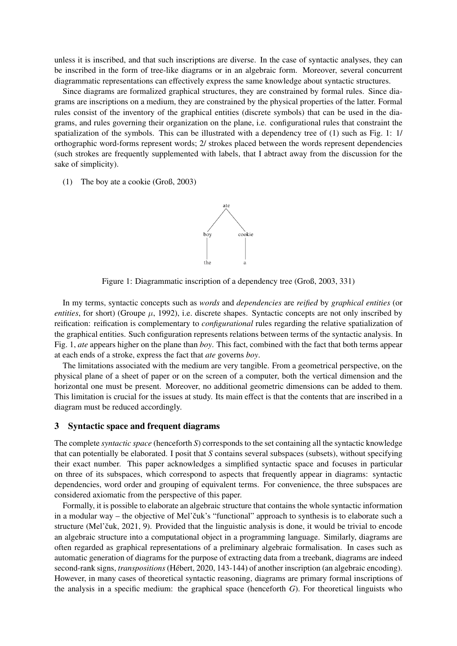unless it is inscribed, and that such inscriptions are diverse. In the case of syntactic analyses, they can be inscribed in the form of tree-like diagrams or in an algebraic form. Moreover, several concurrent diagrammatic representations can effectively express the same knowledge about syntactic structures.

Since diagrams are formalized graphical structures, they are constrained by formal rules. Since diagrams are inscriptions on a medium, they are constrained by the physical properties of the latter. Formal rules consist of the inventory of the graphical entities (discrete symbols) that can be used in the diagrams, and rules governing their organization on the plane, i.e. configurational rules that constraint the spatialization of the symbols. This can be illustrated with a dependency tree of (1) such as Fig. 1: 1/ orthographic word-forms represent words; 2/ strokes placed between the words represent dependencies (such strokes are frequently supplemented with labels, that I abtract away from the discussion for the sake of simplicity).

(1) The boy ate a cookie (Groß, 2003)



Figure 1: Diagrammatic inscription of a dependency tree (Groß, 2003, 331)

In my terms, syntactic concepts such as *words* and *dependencies* are *reified* by *graphical entities* (or *entities*, for short) (Groupe  $\mu$ , 1992), i.e. discrete shapes. Syntactic concepts are not only inscribed by reification: reification is complementary to *configurational* rules regarding the relative spatialization of the graphical entities. Such configuration represents relations between terms of the syntactic analysis. In Fig. 1, *ate* appears higher on the plane than *boy*. This fact, combined with the fact that both terms appear at each ends of a stroke, express the fact that *ate* governs *boy*.

The limitations associated with the medium are very tangible. From a geometrical perspective, on the physical plane of a sheet of paper or on the screen of a computer, both the vertical dimension and the horizontal one must be present. Moreover, no additional geometric dimensions can be added to them. This limitation is crucial for the issues at study. Its main effect is that the contents that are inscribed in a diagram must be reduced accordingly.

### 3 Syntactic space and frequent diagrams

The complete *syntactic space* (henceforth *S*) corresponds to the set containing all the syntactic knowledge that can potentially be elaborated. I posit that *S* contains several subspaces (subsets), without specifying their exact number. This paper acknowledges a simplified syntactic space and focuses in particular on three of its subspaces, which correspond to aspects that frequently appear in diagrams: syntactic dependencies, word order and grouping of equivalent terms. For convenience, the three subspaces are considered axiomatic from the perspective of this paper.

Formally, it is possible to elaborate an algebraic structure that contains the whole syntactic information in a modular way – the objective of Mel'čuk's "functional" approach to synthesis is to elaborate such a structure (Mel'čuk, 2021, 9). Provided that the linguistic analysis is done, it would be trivial to encode an algebraic structure into a computational object in a programming language. Similarly, diagrams are often regarded as graphical representations of a preliminary algebraic formalisation. In cases such as automatic generation of diagrams for the purpose of extracting data from a treebank, diagrams are indeed second-rank signs, *transpositions* (Hebert, 2020, 143-144) of another inscription (an algebraic encoding). ´ However, in many cases of theoretical syntactic reasoning, diagrams are primary formal inscriptions of the analysis in a specific medium: the graphical space (henceforth *G*). For theoretical linguists who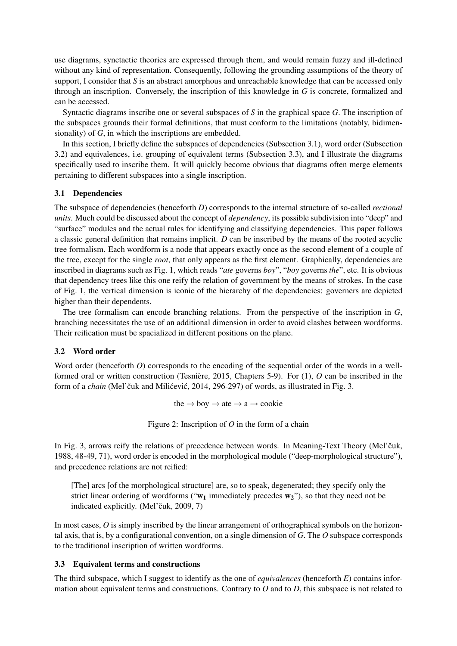use diagrams, synctactic theories are expressed through them, and would remain fuzzy and ill-defined without any kind of representation. Consequently, following the grounding assumptions of the theory of support, I consider that *S* is an abstract amorphous and unreachable knowledge that can be accessed only through an inscription. Conversely, the inscription of this knowledge in *G* is concrete, formalized and can be accessed.

Syntactic diagrams inscribe one or several subspaces of *S* in the graphical space *G*. The inscription of the subspaces grounds their formal definitions, that must conform to the limitations (notably, bidimensionality) of *G*, in which the inscriptions are embedded.

In this section, I briefly define the subspaces of dependencies (Subsection 3.1), word order (Subsection 3.2) and equivalences, i.e. grouping of equivalent terms (Subsection 3.3), and I illustrate the diagrams specifically used to inscribe them. It will quickly become obvious that diagrams often merge elements pertaining to different subspaces into a single inscription.

## 3.1 Dependencies

The subspace of dependencies (henceforth *D*) corresponds to the internal structure of so-called *rectional units*. Much could be discussed about the concept of *dependency*, its possible subdivision into "deep" and "surface" modules and the actual rules for identifying and classifying dependencies. This paper follows a classic general definition that remains implicit. *D* can be inscribed by the means of the rooted acyclic tree formalism. Each wordform is a node that appears exactly once as the second element of a couple of the tree, except for the single *root*, that only appears as the first element. Graphically, dependencies are inscribed in diagrams such as Fig. 1, which reads "*ate* governs *boy*", "*boy* governs *the*", etc. It is obvious that dependency trees like this one reify the relation of government by the means of strokes. In the case of Fig. 1, the vertical dimension is iconic of the hierarchy of the dependencies: governers are depicted higher than their dependents.

The tree formalism can encode branching relations. From the perspective of the inscription in *G*, branching necessitates the use of an additional dimension in order to avoid clashes between wordforms. Their reification must be spacialized in different positions on the plane.

# 3.2 Word order

Word order (henceforth *O*) corresponds to the encoding of the sequential order of the words in a wellformed oral or written construction (Tesnière, 2015, Chapters 5-9). For (1), O can be inscribed in the form of a *chain* (Mel'čuk and Milićević, 2014, 296-297) of words, as illustrated in Fig. 3.

the  $\rightarrow$  boy  $\rightarrow$  ate  $\rightarrow$  a  $\rightarrow$  cookie

Figure 2: Inscription of *O* in the form of a chain

In Fig. 3, arrows reify the relations of precedence between words. In Meaning-Text Theory (Mel'čuk, 1988, 48-49, 71), word order is encoded in the morphological module ("deep-morphological structure"), and precedence relations are not reified:

[The] arcs [of the morphological structure] are, so to speak, degenerated; they specify only the strict linear ordering of wordforms (" $w_1$  immediately precedes  $w_2$ "), so that they need not be indicated explicitly. (Mel'čuk, 2009, 7)

In most cases, *O* is simply inscribed by the linear arrangement of orthographical symbols on the horizontal axis, that is, by a configurational convention, on a single dimension of *G*. The *O* subspace corresponds to the traditional inscription of written wordforms.

## 3.3 Equivalent terms and constructions

The third subspace, which I suggest to identify as the one of *equivalences* (henceforth *E*) contains information about equivalent terms and constructions. Contrary to *O* and to *D*, this subspace is not related to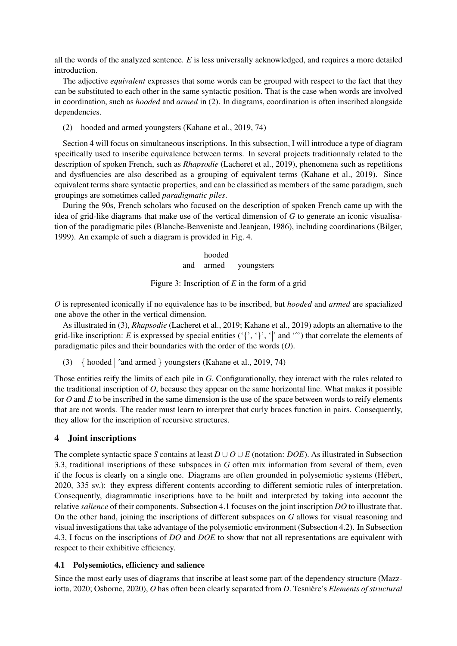all the words of the analyzed sentence. *E* is less universally acknowledged, and requires a more detailed introduction.

The adjective *equivalent* expresses that some words can be grouped with respect to the fact that they can be substituted to each other in the same syntactic position. That is the case when words are involved in coordination, such as *hooded* and *armed* in (2). In diagrams, coordination is often inscribed alongside dependencies.

(2) hooded and armed youngsters (Kahane et al., 2019, 74)

Section 4 will focus on simultaneous inscriptions. In this subsection, I will introduce a type of diagram specifically used to inscribe equivalence between terms. In several projects traditionnaly related to the description of spoken French, such as *Rhapsodie* (Lacheret et al., 2019), phenomena such as repetitions and dysfluencies are also described as a grouping of equivalent terms (Kahane et al., 2019). Since equivalent terms share syntactic properties, and can be classified as members of the same paradigm, such groupings are sometimes called *paradigmatic piles*.

During the 90s, French scholars who focused on the description of spoken French came up with the idea of grid-like diagrams that make use of the vertical dimension of *G* to generate an iconic visualisation of the paradigmatic piles (Blanche-Benveniste and Jeanjean, 1986), including coordinations (Bilger, 1999). An example of such a diagram is provided in Fig. 4.

> hooded and armed youngsters

Figure 3: Inscription of *E* in the form of a grid

*O* is represented iconically if no equivalence has to be inscribed, but *hooded* and *armed* are spacialized one above the other in the vertical dimension.

As illustrated in (3), *Rhapsodie* (Lacheret et al., 2019; Kahane et al., 2019) adopts an alternative to the grid-like inscription: *E* is expressed by special entities  $({}, , ,'$ ,  $'$  and  $\cdots$ ) that correlate the elements of paradigmatic piles and their boundaries with the order of the words (*O*).

(3)  $\{$  hooded  $\|\hat{ }$  and armed  $\}$  youngsters (Kahane et al., 2019, 74)

Those entities reify the limits of each pile in *G*. Configurationally, they interact with the rules related to the traditional inscription of *O*, because they appear on the same horizontal line. What makes it possible for *O* and *E* to be inscribed in the same dimension is the use of the space between words to reify elements that are not words. The reader must learn to interpret that curly braces function in pairs. Consequently, they allow for the inscription of recursive structures.

# 4 Joint inscriptions

The complete syntactic space *S* contains at least  $D \cup O \cup E$  (notation: *DOE*). As illustrated in Subsection 3.3, traditional inscriptions of these subspaces in *G* often mix information from several of them, even if the focus is clearly on a single one. Diagrams are often grounded in polysemiotic systems (Hebert, ´ 2020, 335 sv.): they express different contents according to different semiotic rules of interpretation. Consequently, diagrammatic inscriptions have to be built and interpreted by taking into account the relative *salience* of their components. Subsection 4.1 focuses on the joint inscription *DO* to illustrate that. On the other hand, joining the inscriptions of different subspaces on *G* allows for visual reasoning and visual investigations that take advantage of the polysemiotic environment (Subsection 4.2). In Subsection 4.3, I focus on the inscriptions of *DO* and *DOE* to show that not all representations are equivalent with respect to their exhibitive efficiency.

## 4.1 Polysemiotics, efficiency and salience

Since the most early uses of diagrams that inscribe at least some part of the dependency structure (Mazziotta, 2020; Osborne, 2020), *O* has often been clearly separated from *D*. Tesnière's *Elements of structural*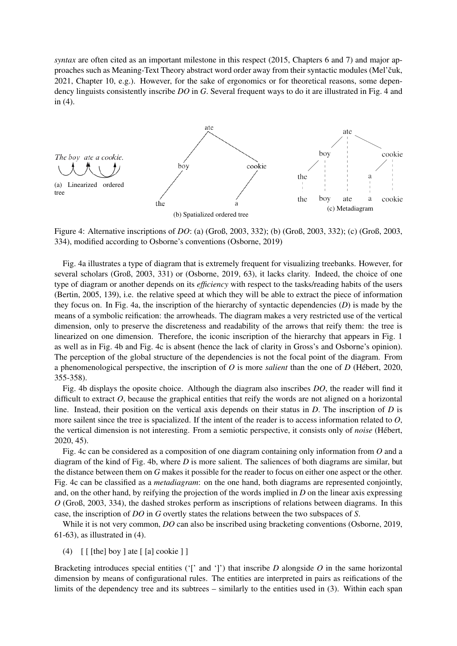*syntax* are often cited as an important milestone in this respect (2015, Chapters 6 and 7) and major approaches such as Meaning-Text Theory abstract word order away from their syntactic modules (Mel'čuk, 2021, Chapter 10, e.g.). However, for the sake of ergonomics or for theoretical reasons, some dependency linguists consistently inscribe *DO* in *G*. Several frequent ways to do it are illustrated in Fig. 4 and in (4).



Figure 4: Alternative inscriptions of *DO*: (a) (Groß, 2003, 332); (b) (Groß, 2003, 332); (c) (Groß, 2003, 334), modified according to Osborne's conventions (Osborne, 2019)

Fig. 4a illustrates a type of diagram that is extremely frequent for visualizing treebanks. However, for several scholars (Groß, 2003, 331) or (Osborne, 2019, 63), it lacks clarity. Indeed, the choice of one type of diagram or another depends on its *efficiency* with respect to the tasks/reading habits of the users (Bertin, 2005, 139), i.e. the relative speed at which they will be able to extract the piece of information they focus on. In Fig. 4a, the inscription of the hierarchy of syntactic dependencies (*D*) is made by the means of a symbolic reification: the arrowheads. The diagram makes a very restricted use of the vertical dimension, only to preserve the discreteness and readability of the arrows that reify them: the tree is linearized on one dimension. Therefore, the iconic inscription of the hierarchy that appears in Fig. 1 as well as in Fig. 4b and Fig. 4c is absent (hence the lack of clarity in Gross's and Osborne's opinion). The perception of the global structure of the dependencies is not the focal point of the diagram. From a phenomenological perspective, the inscription of *O* is more *salient* than the one of *D* (Hebert, 2020, ´ 355-358).

Fig. 4b displays the oposite choice. Although the diagram also inscribes *DO*, the reader will find it difficult to extract *O*, because the graphical entities that reify the words are not aligned on a horizontal line. Instead, their position on the vertical axis depends on their status in *D*. The inscription of *D* is more sailent since the tree is spacialized. If the intent of the reader is to access information related to *O*, the vertical dimension is not interesting. From a semiotic perspective, it consists only of *noise* (Hebert, ´ 2020, 45).

Fig. 4c can be considered as a composition of one diagram containing only information from *O* and a diagram of the kind of Fig. 4b, where *D* is more salient. The saliences of both diagrams are similar, but the distance between them on *G* makes it possible for the reader to focus on either one aspect or the other. Fig. 4c can be classified as a *metadiagram*: on the one hand, both diagrams are represented conjointly, and, on the other hand, by reifying the projection of the words implied in *D* on the linear axis expressing *O* (Groß, 2003, 334), the dashed strokes perform as inscriptions of relations between diagrams. In this case, the inscription of *DO* in *G* overtly states the relations between the two subspaces of *S*.

While it is not very common, *DO* can also be inscribed using bracketing conventions (Osborne, 2019, 61-63), as illustrated in (4).

(4)  $\lceil \int [$  [the] boy ] ate  $\lceil \int [a]$  cookie ] ]

Bracketing introduces special entities ( $\lceil \cdot \rceil$  and  $\lceil \cdot \rceil$ ) that inscribe *D* alongside *O* in the same horizontal dimension by means of configurational rules. The entities are interpreted in pairs as reifications of the limits of the dependency tree and its subtrees – similarly to the entities used in (3). Within each span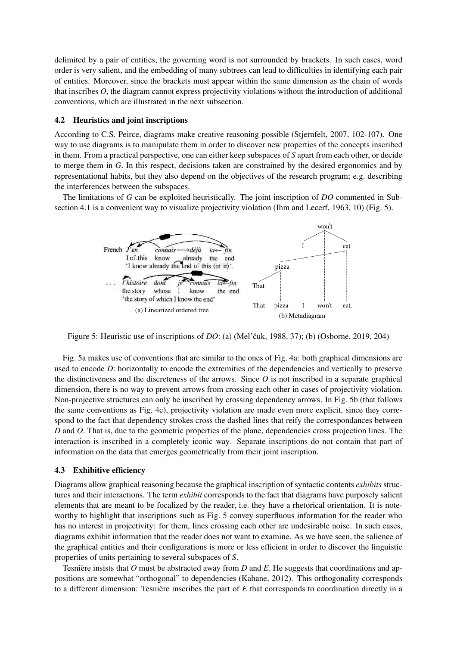delimited by a pair of entities, the governing word is not surrounded by brackets. In such cases, word order is very salient, and the embedding of many subtrees can lead to difficulties in identifying each pair of entities. Moreover, since the brackets must appear within the same dimension as the chain of words that inscribes *O*, the diagram cannot express projectivity violations without the introduction of additional conventions, which are illustrated in the next subsection.

#### 4.2 Heuristics and joint inscriptions

According to C.S. Peirce, diagrams make creative reasoning possible (Stjernfelt, 2007, 102-107). One way to use diagrams is to manipulate them in order to discover new properties of the concepts inscribed in them. From a practical perspective, one can either keep subspaces of *S* apart from each other, or decide to merge them in *G*. In this respect, decisions taken are constrained by the desired ergonomics and by representational habits, but they also depend on the objectives of the research program; e.g. describing the interferences between the subspaces.

The limitations of *G* can be exploited heuristically. The joint inscription of *DO* commented in Subsection 4.1 is a convenient way to visualize projectivity violation (Ihm and Lecerf, 1963, 10) (Fig. 5).



Figure 5: Heuristic use of inscriptions of *DO*: (a) (Mel'čuk, 1988, 37); (b) (Osborne, 2019, 204)

Fig. 5a makes use of conventions that are similar to the ones of Fig. 4a: both graphical dimensions are used to encode *D*: horizontally to encode the extremities of the dependencies and vertically to preserve the distinctiveness and the discreteness of the arrows. Since *O* is not inscribed in a separate graphical dimension, there is no way to prevent arrows from crossing each other in cases of projectivity violation. Non-projective structures can only be inscribed by crossing dependency arrows. In Fig. 5b (that follows the same conventions as Fig. 4c), projectivity violation are made even more explicit, since they correspond to the fact that dependency strokes cross the dashed lines that reify the correspondances between *D* and *O*. That is, due to the geometric properties of the plane, dependencies cross projection lines. The interaction is inscribed in a completely iconic way. Separate inscriptions do not contain that part of information on the data that emerges geometrically from their joint inscription.

#### 4.3 Exhibitive efficiency

Diagrams allow graphical reasoning because the graphical inscription of syntactic contents *exhibits* structures and their interactions. The term *exhibit* corresponds to the fact that diagrams have purposely salient elements that are meant to be focalized by the reader, i.e. they have a rhetorical orientation. It is noteworthy to highlight that inscriptions such as Fig. 5 convey superfluous information for the reader who has no interest in projectivity: for them, lines crossing each other are undesirable noise. In such cases, diagrams exhibit information that the reader does not want to examine. As we have seen, the salience of the graphical entities and their configurations is more or less efficient in order to discover the linguistic properties of units pertaining to several subspaces of *S*.

Tesnière insists that O must be abstracted away from  $D$  and  $E$ . He suggests that coordinations and appositions are somewhat "orthogonal" to dependencies (Kahane, 2012). This orthogonality corresponds to a different dimension: Tesnière inscribes the part of  $E$  that corresponds to coordination directly in a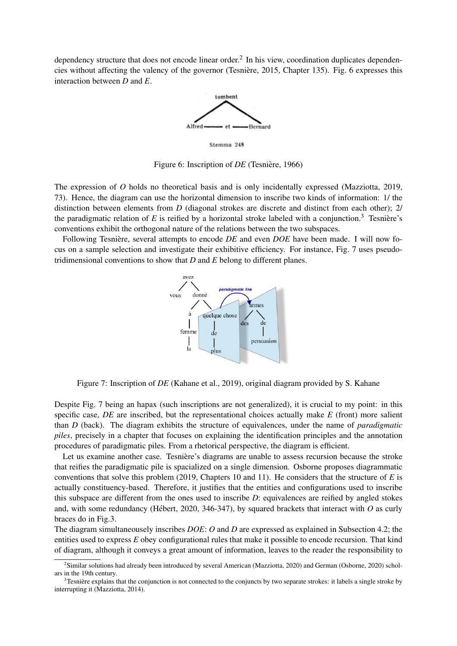dependency structure that does not encode linear order.<sup>2</sup> In his view, coordination duplicates dependencies without affecting the valency of the governor (Tesniere, 2015, Chapter 135). Fig. 6 expresses this ` interaction between *D* and *E*.



Figure 6: Inscription of *DE* (Tesnière, 1966)

The expression of *O* holds no theoretical basis and is only incidentally expressed (Mazziotta, 2019, 73). Hence, the diagram can use the horizontal dimension to inscribe two kinds of information: 1/ the distinction between elements from *D* (diagonal strokes are discrete and distinct from each other); 2/ the paradigmatic relation of  $E$  is reified by a horizontal stroke labeled with a conjunction.<sup>3</sup> Tesniere's conventions exhibit the orthogonal nature of the relations between the two subspaces.

Following Tesnière, several attempts to encode *DE* and even *DOE* have been made. I will now focus on a sample selection and investigate their exhibitive efficiency. For instance, Fig. 7 uses pseudotridimensional conventions to show that *D* and *E* belong to different planes.



Figure 7: Inscription of *DE* (Kahane et al., 2019), original diagram provided by S. Kahane

Despite Fig. 7 being an hapax (such inscriptions are not generalized), it is crucial to my point: in this specific case, *DE* are inscribed, but the representational choices actually make *E* (front) more salient than *D* (back). The diagram exhibits the structure of equivalences, under the name of *paradigmatic piles*, precisely in a chapter that focuses on explaining the identification principles and the annotation procedures of paradigmatic piles. From a rhetorical perspective, the diagram is efficient.

Let us examine another case. Tesnière's diagrams are unable to assess recursion because the stroke that reifies the paradigmatic pile is spacialized on a single dimension. Osborne proposes diagrammatic conventions that solve this problem (2019, Chapters 10 and 11). He considers that the structure of *E* is actually constituency-based. Therefore, it justifies that the entities and configurations used to inscribe this subspace are different from the ones used to inscribe *D*: equivalences are reified by angled stokes and, with some redundancy (Hébert, 2020, 346-347), by squared brackets that interact with  $\hat{O}$  as curly braces do in Fig.3.

The diagram simultaneousely inscribes *DOE*: *O* and *D* are expressed as explained in Subsection 4.2; the entities used to express *E* obey configurational rules that make it possible to encode recursion. That kind of diagram, although it conveys a great amount of information, leaves to the reader the responsibility to

<sup>2</sup> Similar solutions had already been introduced by several American (Mazziotta, 2020) and German (Osborne, 2020) scholars in the 19th century.

Tesnière explains that the conjunction is not connected to the conjuncts by two separate strokes: it labels a single stroke by interrupting it (Mazziotta, 2014).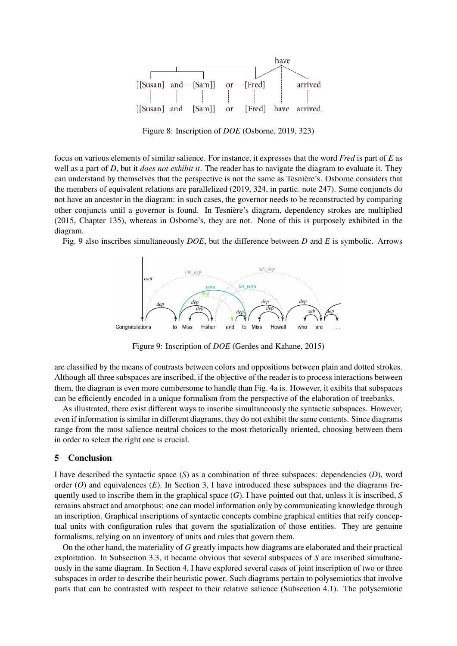

Figure 8: Inscription of *DOE* (Osborne, 2019, 323)

focus on various elements of similar salience. For instance, it expresses that the word *Fred* is part of *E* as well as a part of *D*, but it *does not exhibit it*. The reader has to navigate the diagram to evaluate it. They can understand by themselves that the perspective is not the same as Tesniere's. Osborne considers that ` the members of equivalent relations are parallelized (2019, 324, in partic. note 247). Some conjuncts do not have an ancestor in the diagram: in such cases, the governor needs to be reconstructed by comparing other conjuncts until a governor is found. In Tesniere's diagram, dependency strokes are multiplied ` (2015, Chapter 135), whereas in Osborne's, they are not. None of this is purposely exhibited in the diagram.

Fig. 9 also inscribes simultaneously *DOE*, but the difference between *D* and *E* is symbolic. Arrows



Figure 9: Inscription of *DOE* (Gerdes and Kahane, 2015)

are classified by the means of contrasts between colors and oppositions between plain and dotted strokes. Although all three subspaces are inscribed, if the objective of the reader is to process interactions between them, the diagram is even more cumbersome to handle than Fig. 4a is. However, it exibits that subspaces can be efficiently encoded in a unique formalism from the perspective of the elaboration of treebanks.

As illustrated, there exist different ways to inscribe simultaneously the syntactic subspaces. However, even if information is similar in different diagrams, they do not exhibit the same contents. Since diagrams range from the most salience-neutral choices to the most rhetorically oriented, choosing between them in order to select the right one is crucial.

# 5 Conclusion

I have described the syntactic space (*S*) as a combination of three subspaces: dependencies (*D*), word order  $(O)$  and equivalences  $(E)$ . In Section 3, I have introduced these subspaces and the diagrams frequently used to inscribe them in the graphical space (*G*). I have pointed out that, unless it is inscribed, *S* remains abstract and amorphous: one can model information only by communicating knowledge through an inscription. Graphical inscriptions of syntactic concepts combine graphical entities that reify conceptual units with configuration rules that govern the spatialization of those entities. They are genuine formalisms, relying on an inventory of units and rules that govern them.

On the other hand, the materiality of *G* greatly impacts how diagrams are elaborated and their practical exploitation. In Subsection 3.3, it became obvious that several subspaces of *S* are inscribed simultaneously in the same diagram. In Section 4, I have explored several cases of joint inscription of two or three subspaces in order to describe their heuristic power. Such diagrams pertain to polysemiotics that involve parts that can be contrasted with respect to their relative salience (Subsection 4.1). The polysemiotic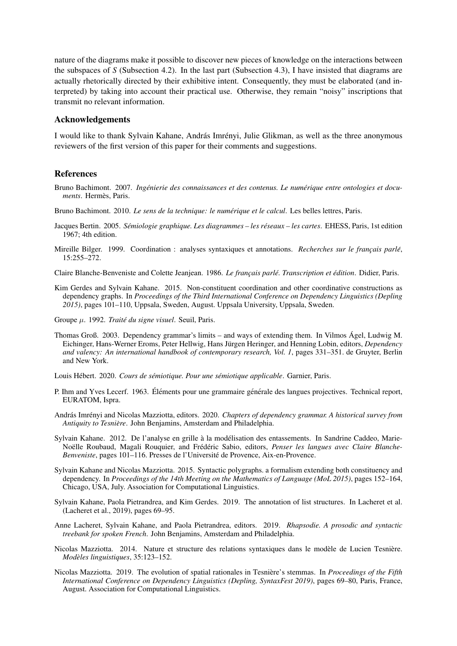nature of the diagrams make it possible to discover new pieces of knowledge on the interactions between the subspaces of *S* (Subsection 4.2). In the last part (Subsection 4.3), I have insisted that diagrams are actually rhetorically directed by their exhibitive intent. Consequently, they must be elaborated (and interpreted) by taking into account their practical use. Otherwise, they remain "noisy" inscriptions that transmit no relevant information.

### Acknowledgements

I would like to thank Sylvain Kahane, András Imrényi, Julie Glikman, as well as the three anonymous reviewers of the first version of this paper for their comments and suggestions.

#### References

- Bruno Bachimont. 2007. *Ingénierie des connaissances et des contenus. Le numérique entre ontologies et docu* $ments.$  Hermès, Paris.
- Bruno Bachimont. 2010. *Le sens de la technique: le numérique et le calcul*. Les belles lettres, Paris.
- Jacques Bertin. 2005. *Sémiologie graphique. Les diagrammes les réseaux les cartes*. EHESS, Paris, 1st edition 1967; 4th edition.
- Mireille Bilger. 1999. Coordination : analyses syntaxiques et annotations. *Recherches sur le francais parlé*, 15:255–272.

Claire Blanche-Benveniste and Colette Jeanjean. 1986. *Le français parlé. Transcription et édition*. Didier, Paris.

Kim Gerdes and Sylvain Kahane. 2015. Non-constituent coordination and other coordinative constructions as dependency graphs. In *Proceedings of the Third International Conference on Dependency Linguistics (Depling 2015)*, pages 101–110, Uppsala, Sweden, August. Uppsala University, Uppsala, Sweden.

Groupe µ. 1992. *Traite du signe visuel ´* . Seuil, Paris.

Thomas Groß. 2003. Dependency grammar's limits – and ways of extending them. In Vilmos Agel, Ludwig M. ´ Eichinger, Hans-Werner Eroms, Peter Hellwig, Hans Jürgen Heringer, and Henning Lobin, editors, *Dependency and valency: An international handbook of contemporary research, Vol. 1*, pages 331–351. de Gruyter, Berlin and New York.

Louis Hébert. 2020. Cours de sémiotique. Pour une sémiotique applicable. Garnier, Paris.

- P. Ihm and Yves Lecerf. 1963. Éléments pour une grammaire générale des langues projectives. Technical report, EURATOM, Ispra.
- András Imrényi and Nicolas Mazziotta, editors. 2020. *Chapters of dependency grammar. A historical survey from Antiquity to Tesniere `* . John Benjamins, Amsterdam and Philadelphia.
- Sylvain Kahane. 2012. De l'analyse en grille à la modélisation des entassements. In Sandrine Caddeo, Marie-Noëlle Roubaud, Magali Rouquier, and Frédéric Sabio, editors, *Penser les langues avec Claire Blanche*-*Benveniste*, pages 101–116. Presses de l'Universite de Provence, Aix-en-Provence. ´
- Sylvain Kahane and Nicolas Mazziotta. 2015. Syntactic polygraphs. a formalism extending both constituency and dependency. In *Proceedings of the 14th Meeting on the Mathematics of Language (MoL 2015)*, pages 152–164, Chicago, USA, July. Association for Computational Linguistics.
- Sylvain Kahane, Paola Pietrandrea, and Kim Gerdes. 2019. The annotation of list structures. In Lacheret et al. (Lacheret et al., 2019), pages 69–95.
- Anne Lacheret, Sylvain Kahane, and Paola Pietrandrea, editors. 2019. *Rhapsodie. A prosodic and syntactic treebank for spoken French*. John Benjamins, Amsterdam and Philadelphia.
- Nicolas Mazziotta. 2014. Nature et structure des relations syntaxiques dans le modèle de Lucien Tesnière. *Modeles linguistiques `* , 35:123–152.
- Nicolas Mazziotta. 2019. The evolution of spatial rationales in Tesniere's stemmas. In ` *Proceedings of the Fifth International Conference on Dependency Linguistics (Depling, SyntaxFest 2019)*, pages 69–80, Paris, France, August. Association for Computational Linguistics.